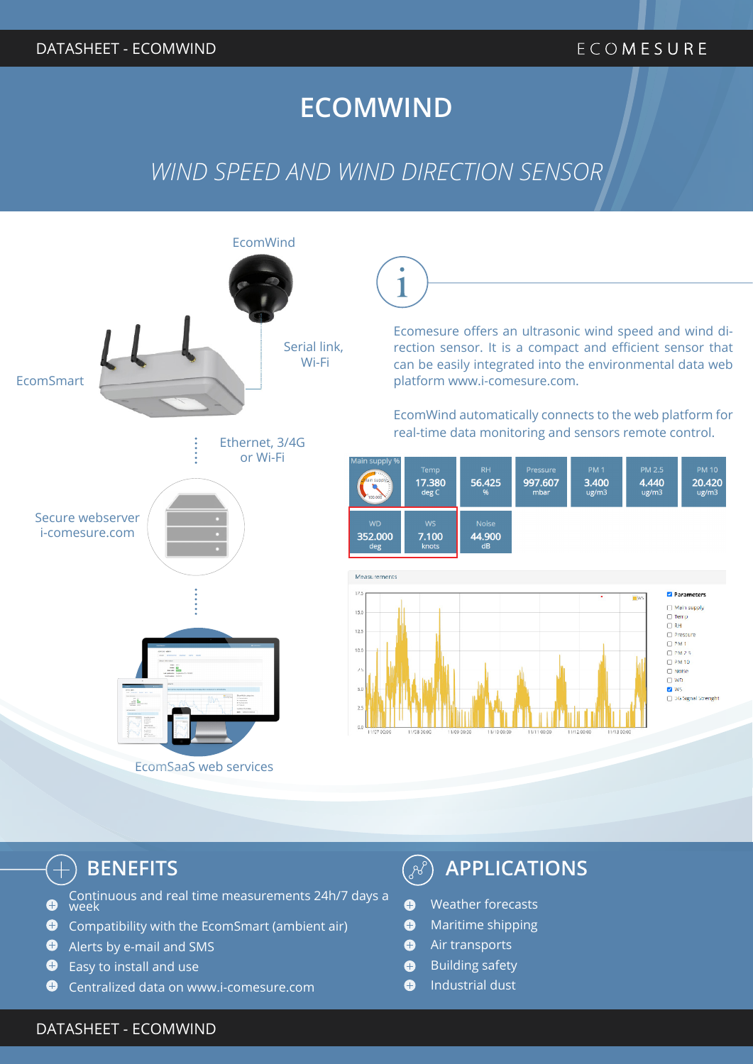## **ECOMWIND**

## *WIND SPEED AND WIND DIRECTION SENSOR*



 $\left( \begin{smallmatrix} -1 \ 1 \end{smallmatrix} \right)$ 

- Continuous and real time measurements 24h/7 days a  $\bullet$ week
- **O** Compatibility with the EcomSmart (ambient air)
- $\bullet$ Alerts by e-mail and SMS
- $\bullet$  Easy to install and use
- $\bullet$ Centralized data on www.i-comesure.com

## **BENEFITS APPLICATIONS**

- $\bullet$ Weather forecasts
- $\bullet$ Maritime shipping
- Air transports  $\bullet$
- Building safety  $\bullet$
- Industrial dust  $\bullet$

#### $\mathsf{DATASHEET}$  - ECOMWINDSPEED and the control of the control of the control of the control of the control of the control of the control of the control of the control of the control of the control of the control of the contro